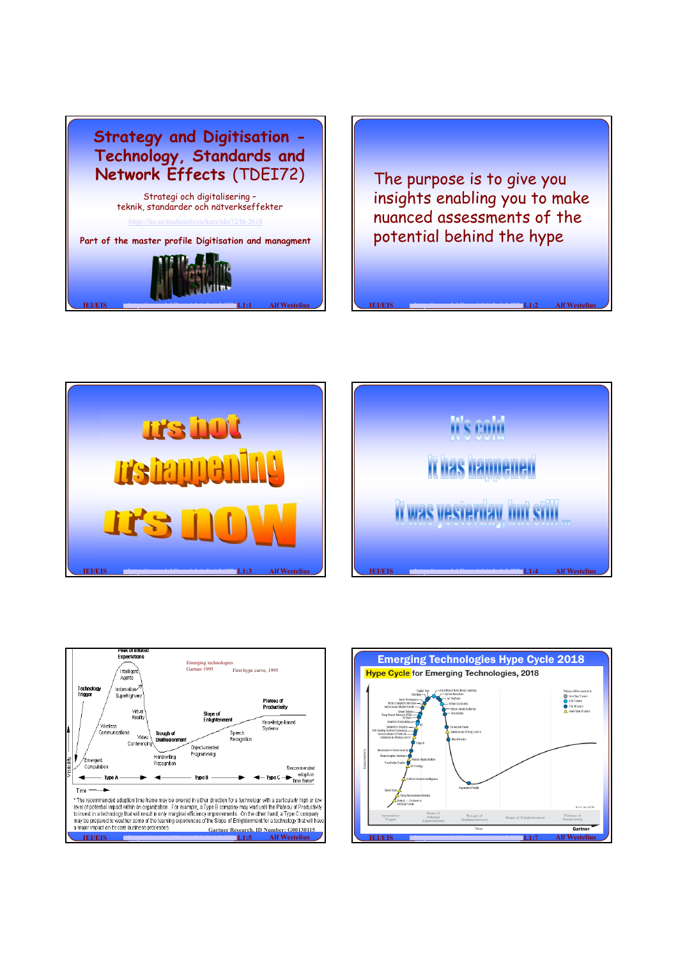

The purpose is to give you insights enabling you to make nuanced assessments of the potential behind the hype

**IEI/EIS http://www.iei.liu.se/eis/edu/tdei09 <b>L1:2 Alf Westelius** 







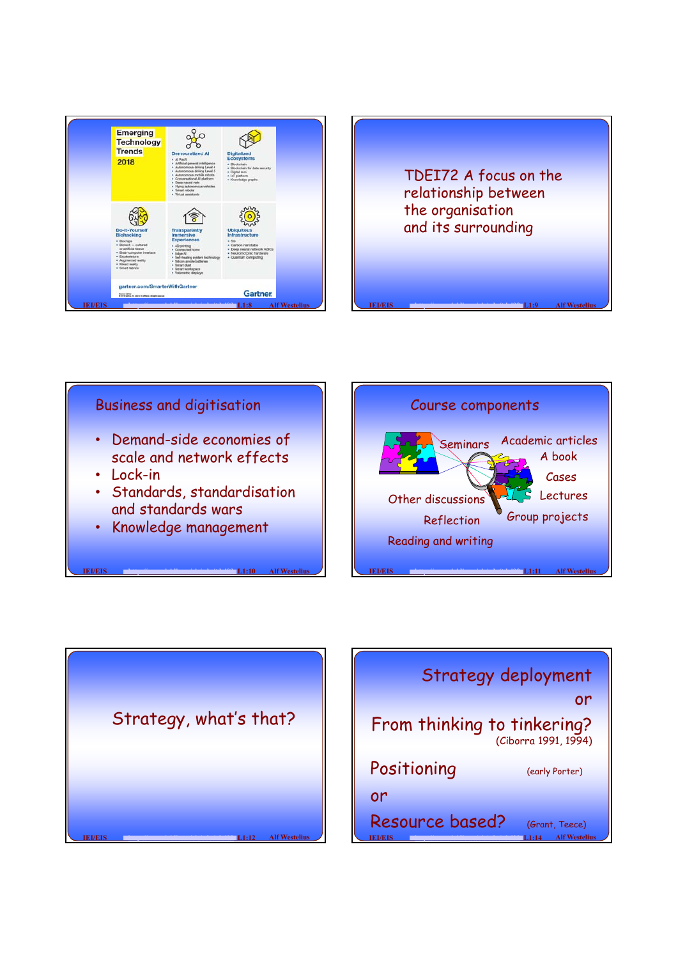